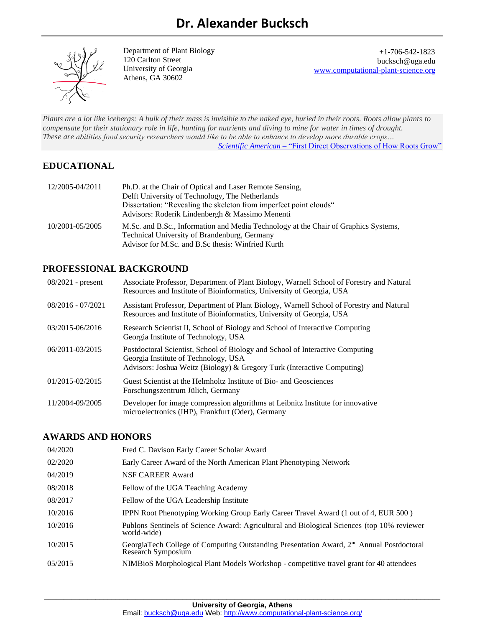

Department of Plant Biology 120 Carlton Street University of Georgia Athens, GA 30602

+1-706-542-1823 bucksch@uga.edu [www.computational-plant-science.org](http://www.computational-plant-science.org/)

*Plants are a lot like icebergs: A bulk of their mass is invisible to the naked eye, buried in their roots. Roots allow plants to compensate for their stationary role in life, hunting for nutrients and diving to mine for water in times of drought. These are abilities food security researchers would like to be able to enhance to develop more durable crops… Scientific American* – ["First Direct Observations of How Roots Grow"](https://www.scientificamerican.com/article/first-direct-observations-of-how-roots-grow/)

# **EDUCATIONAL**

| 12/2005-04/2011 | Ph.D. at the Chair of Optical and Laser Remote Sensing,                                                                             |
|-----------------|-------------------------------------------------------------------------------------------------------------------------------------|
|                 | Delft University of Technology, The Netherlands                                                                                     |
|                 | Dissertation: "Revealing the skeleton from imperfect point clouds"                                                                  |
|                 | Advisors: Roderik Lindenbergh & Massimo Menenti                                                                                     |
| 10/2001-05/2005 | M.Sc. and B.Sc., Information and Media Technology at the Chair of Graphics Systems,<br>Technical University of Brandenburg, Germany |
|                 |                                                                                                                                     |
|                 | Advisor for M.Sc. and B.Sc thesis: Winfried Kurth                                                                                   |

# **PROFESSIONAL BACKGROUND**

| $08/2021$ - present | Associate Professor, Department of Plant Biology, Warnell School of Forestry and Natural<br>Resources and Institute of Bioinformatics, University of Georgia, USA                                |
|---------------------|--------------------------------------------------------------------------------------------------------------------------------------------------------------------------------------------------|
| $08/2016 - 07/2021$ | Assistant Professor, Department of Plant Biology, Warnell School of Forestry and Natural<br>Resources and Institute of Bioinformatics, University of Georgia, USA                                |
| 03/2015-06/2016     | Research Scientist II, School of Biology and School of Interactive Computing<br>Georgia Institute of Technology, USA                                                                             |
| 06/2011-03/2015     | Postdoctoral Scientist, School of Biology and School of Interactive Computing<br>Georgia Institute of Technology, USA<br>Advisors: Joshua Weitz (Biology) & Gregory Turk (Interactive Computing) |
| 01/2015-02/2015     | Guest Scientist at the Helmholtz Institute of Bio- and Geosciences<br>Forschungszentrum Jülich, Germany                                                                                          |
| 11/2004-09/2005     | Developer for image compression algorithms at Leibnitz Institute for innovative<br>microelectronics (IHP), Frankfurt (Oder), Germany                                                             |

## **AWARDS AND HONORS**

| 04/2020 | Fred C. Davison Early Career Scholar Award                                                                                 |
|---------|----------------------------------------------------------------------------------------------------------------------------|
| 02/2020 | Early Career Award of the North American Plant Phenotyping Network                                                         |
| 04/2019 | NSF CAREER Award                                                                                                           |
| 08/2018 | Fellow of the UGA Teaching Academy                                                                                         |
| 08/2017 | Fellow of the UGA Leadership Institute                                                                                     |
| 10/2016 | IPPN Root Phenotyping Working Group Early Career Travel Award (1 out of 4, EUR 500 )                                       |
| 10/2016 | Publons Sentinels of Science Award: Agricultural and Biological Sciences (top 10% reviewer<br>world-wide)                  |
| 10/2015 | GeorgiaTech College of Computing Outstanding Presentation Award, 2 <sup>nd</sup> Annual Postdoctoral<br>Research Symposium |
| 05/2015 | NIMBioS Morphological Plant Models Workshop - competitive travel grant for 40 attendees                                    |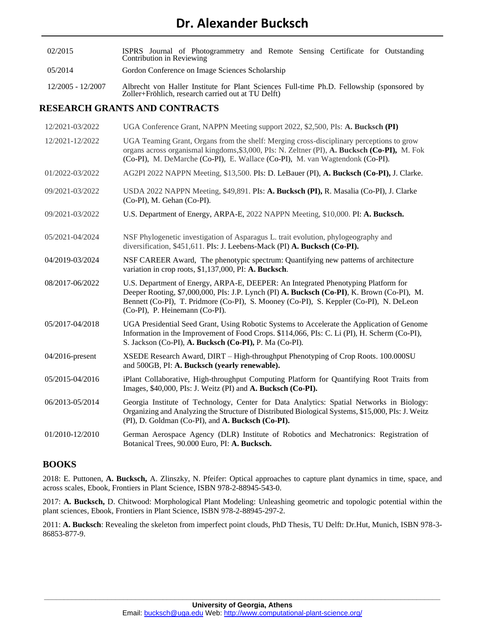- 02/2015 ISPRS Journal of Photogrammetry and Remote Sensing Certificate for Outstanding Contribution in Reviewing
- 05/2014 Gordon Conference on Image Sciences Scholarship
- 12/2005 12/2007 Albrecht von Haller Institute for Plant Sciences Full-time Ph.D. Fellowship (sponsored by Zoller+Fröhlich, research carried out at TU Delft)

## **RESEARCH GRANTS AND CONTRACTS**

| 12/2021-03/2022 | UGA Conference Grant, NAPPN Meeting support 2022, \$2,500, PIs: A. Bucksch (PI)                                                                                                                                                                                                                             |
|-----------------|-------------------------------------------------------------------------------------------------------------------------------------------------------------------------------------------------------------------------------------------------------------------------------------------------------------|
| 12/2021-12/2022 | UGA Teaming Grant, Organs from the shelf: Merging cross-disciplinary perceptions to grow<br>organs across organismal kingdoms, \$3,000, PIs: N. Zeltner (PI), A. Bucksch (Co-PI), M. Fok<br>(Co-PI), M. DeMarche (Co-PI), E. Wallace (Co-PI), M. van Wagtendonk (Co-PI).                                    |
| 01/2022-03/2022 | AG2PI 2022 NAPPN Meeting, \$13,500. PIs: D. LeBauer (PI), A. Bucksch (Co-PI), J. Clarke.                                                                                                                                                                                                                    |
| 09/2021-03/2022 | USDA 2022 NAPPN Meeting, \$49,891. PIs: A. Bucksch (PI), R. Masalia (Co-PI), J. Clarke<br>(Co-PI), M. Gehan (Co-PI).                                                                                                                                                                                        |
| 09/2021-03/2022 | U.S. Department of Energy, ARPA-E, 2022 NAPPN Meeting, \$10,000. PI: A. Bucksch.                                                                                                                                                                                                                            |
| 05/2021-04/2024 | NSF Phylogenetic investigation of Asparagus L. trait evolution, phylogeography and<br>diversification, \$451,611. PIs: J. Leebens-Mack (PI) A. Bucksch (Co-PI).                                                                                                                                             |
| 04/2019-03/2024 | NSF CAREER Award, The phenotypic spectrum: Quantifying new patterns of architecture<br>variation in crop roots, \$1,137,000, PI: A. Bucksch.                                                                                                                                                                |
| 08/2017-06/2022 | U.S. Department of Energy, ARPA-E, DEEPER: An Integrated Phenotyping Platform for<br>Deeper Rooting, \$7,000,000, PIs: J.P. Lynch (PI) A. Bucksch (Co-PI), K. Brown (Co-PI), M.<br>Bennett (Co-PI), T. Pridmore (Co-PI), S. Mooney (Co-PI), S. Keppler (Co-PI), N. DeLeon<br>(Co-PI), P. Heinemann (Co-PI). |
| 05/2017-04/2018 | UGA Presidential Seed Grant, Using Robotic Systems to Accelerate the Application of Genome<br>Information in the Improvement of Food Crops. \$114,066, PIs: C. Li (PI), H. Scherm (Co-PI),<br>S. Jackson (Co-PI), A. Bucksch (Co-PI), P. Ma (Co-PI).                                                        |
| 04/2016-present | XSEDE Research Award, DIRT - High-throughput Phenotyping of Crop Roots. 100.000SU<br>and 500GB, PI: A. Bucksch (yearly renewable).                                                                                                                                                                          |
| 05/2015-04/2016 | iPlant Collaborative, High-throughput Computing Platform for Quantifying Root Traits from<br>Images, \$40,000, PIs: J. Weitz (PI) and A. Bucksch (Co-PI).                                                                                                                                                   |
| 06/2013-05/2014 | Georgia Institute of Technology, Center for Data Analytics: Spatial Networks in Biology:<br>Organizing and Analyzing the Structure of Distributed Biological Systems, \$15,000, PIs: J. Weitz<br>(PI), D. Goldman (Co-PI), and A. Bucksch (Co-PI).                                                          |
| 01/2010-12/2010 | German Aerospace Agency (DLR) Institute of Robotics and Mechatronics: Registration of<br>Botanical Trees, 90.000 Euro, PI: A. Bucksch.                                                                                                                                                                      |

# **BOOKS**

2018: E. Puttonen, **A. Bucksch,** A. Zlinszky, N. Pfeifer: Optical approaches to capture plant dynamics in time, space, and across scales, Ebook, Frontiers in Plant Science, ISBN 978-2-88945-543-0.

2017: **A. Bucksch,** D. Chitwood: Morphological Plant Modeling: Unleashing geometric and topologic potential within the plant sciences, Ebook, Frontiers in Plant Science, ISBN 978-2-88945-297-2.

2011: **A. Bucksch**: Revealing the skeleton from imperfect point clouds, PhD Thesis, TU Delft: Dr.Hut, Munich, ISBN 978-3- 86853-877-9.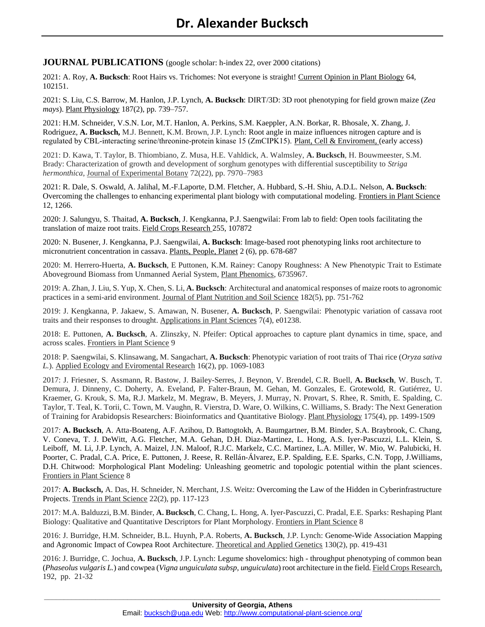**JOURNAL PUBLICATIONS** (google scholar: h-index 22, over 2000 citations)

2021: A. Roy, **A. Bucksch**: Root Hairs vs. Trichomes: Not everyone is straight! Current Opinion in Plant Biology 64, 102151.

2021: S. Liu, C.S. Barrow, M. Hanlon, J.P. Lynch, **A. Bucksch**: DIRT/3D: 3D root phenotyping for field grown maize (*Zea mays*). Plant Physiology 187(2), pp. 739–757.

2021: H.M. Schneider, V.S.N. Lor, M.T. Hanlon, A. Perkins, S.M. Kaeppler, A.N. Borkar, R. Bhosale, X. Zhang, J. Rodriguez, **A. Bucksch,** M.J. Bennett, K.M. Brown, J.P. Lynch: Root angle in maize influences nitrogen capture and is regulated by CBL-interacting serine/threonine-protein kinase 15 (ZmCIPK15). Plant, Cell & Enviroment, (early access)

2021: D. Kawa, T. Taylor, B. Thiombiano, Z. Musa, H.E. Vahldick, A. Walmsley, **A. Bucksch**, H. Bouwmeester, S.M. Brady: Characterization of growth and development of sorghum genotypes with differential susceptibility to *Striga hermonthica*, Journal of Experimental Botany 72(22), pp. 7970–7983

2021: R. Dale, S. Oswald, A. Jalihal, M.-F.Laporte, D.M. Fletcher, A. Hubbard, S.-H. Shiu, A.D.L. Nelson, **A. Bucksch**: Overcoming the challenges to enhancing experimental plant biology with computational modeling. Frontiers in Plant Science 12, 1266.

2020: J. Salungyu, S. Thaitad, **A. Bucksch**, J. Kengkanna, P.J. Saengwilai: From lab to field: Open tools facilitating the translation of maize root traits. Field Crops Research 255, 107872

2020: N. Busener, J. Kengkanna, P.J. Saengwilai, **A. Bucksch**: Image-based root phenotyping links root architecture to micronutrient concentration in cassava. Plants, People, Planet 2 (6), pp. 678-687

2020: M. Herrero-Huerta, **A. Bucksch**, E Puttonen, K.M. Rainey: Canopy Roughness: A New Phenotypic Trait to Estimate Aboveground Biomass from Unmanned Aerial System, Plant Phenomics, 6735967.

2019: A. Zhan, J. Liu, S. Yup, X. Chen,S. Li, **A. Bucksch**: Architectural and anatomical responses of maize roots to agronomic practices in a semi-arid environment. Journal of Plant Nutrition and Soil Science 182(5), pp. 751-762

2019: J. Kengkanna, P. Jakaew, S. Amawan, N. Busener, **A. Bucksch**, P. Saengwilai: Phenotypic variation of cassava root traits and their responses to drought. Applications in Plant Sciences 7(4), e01238.

2018: E. Puttonen, **A. Bucksch**, A. Zlinszky, N. Pfeifer: Optical approaches to capture plant dynamics in time, space, and across scales. Frontiers in Plant Science 9

2018: P. Saengwilai, S. Klinsawang, M. Sangachart, **A. Bucksch**: Phenotypic variation of root traits of Thai rice (*Oryza sativa L.*). Applied Ecology and Eviromental Research 16(2), pp. 1069-1083

2017: J. Friesner, S. Assmann, R. Bastow, J. Bailey-Serres, J. Beynon, V. Brendel, C.R. Buell, **A. Bucksch**, W. Busch, T. Demura, J. Dinneny, C. Doherty, A. Eveland, P. Falter-Braun, M. Gehan, M. Gonzales, E. Grotewold, R. Gutiérrez, U. Kraemer, G. Krouk, S. Ma, R.J. Markelz, M. Megraw, B. Meyers, J. Murray, N. Provart, S. Rhee, R. Smith, E. Spalding, C. Taylor, T. Teal, K. Torii, C. Town, M. Vaughn, R. Vierstra, D. Ware, O. Wilkins, C. Williams, S. Brady: The Next Generation of Training for Arabidopsis Researchers: Bioinformatics and Quantitative Biology. Plant Physiology 175(4), pp. 1499-1509

2017: **A. Bucksch**, A. Atta-Boateng, A.F. Azihou, D. Battogtokh, A. Baumgartner, B.M. Binder, S.A. Braybrook, C. Chang, V. Coneva, T. J. DeWitt, A.G. Fletcher, M.A. Gehan, D.H. Diaz-Martinez, L. Hong, A.S. Iyer-Pascuzzi, L.L. Klein, S. Leiboff, M. Li, J.P. Lynch, A. Maizel, J.N. Maloof, R.J.C. Markelz, C.C. Martinez, L.A. Miller, W. Mio, W. Palubicki, H. Poorter, C. Pradal, C.A. Price, E. Puttonen, J. Reese, R. Rellán-Álvarez, E.P. Spalding, E.E. Sparks, C.N. Topp, J.Williams, D.H. Chitwood: Morphological Plant Modeling: Unleashing geometric and topologic potential within the plant sciences. Frontiers in Plant Science 8

2017: **A. Bucksch,** A. Das, H. Schneider, N. Merchant, J.S. Weitz: Overcoming the Law of the Hidden in Cyberinfrastructure Projects. Trends in Plant Science 22(2), pp. 117-123

2017: M.A. Balduzzi, B.M. Binder, **A. Bucksch**, C. Chang, L. Hong, A. Iyer-Pascuzzi, C. Pradal, E.E. Sparks: Reshaping Plant Biology: Qualitative and Quantitative Descriptors for Plant Morphology. Frontiers in Plant Science 8

2016: J. Burridge, H.M. Schneider, B.L. Huynh, P.A. Roberts, **A. Bucksch**, J.P. Lynch: Genome-Wide Association Mapping and Agronomic Impact of Cowpea Root Architecture. Theoretical and Applied Genetics 130(2), pp. 419-431

2016: J. Burridge, C. Jochua, **A. Bucksch**, J.P. Lynch: Legume shovelomics: high - throughput phenotyping of common bean (*Phaseolus vulgaris L.*) and cowpea (*Vigna unguiculata subsp, unguiculata*) root architecture in the field. Field Crops Research, 192, pp. 21-32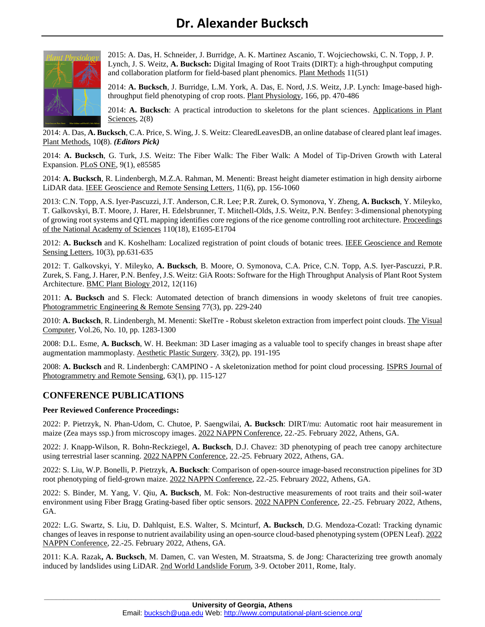

2015: A. Das, H. Schneider, J. Burridge, A. K. Martinez Ascanio, T. Wojciechowski, C. N. Topp, J. P. Lynch, J. S. Weitz, **A. Bucksch:** Digital Imaging of Root Traits (DIRT): a high-throughput computing and collaboration platform for field-based plant phenomics. Plant Methods 11(51)

2014: **A. Bucksch**, J. Burridge, L.M. York, A. Das, E. Nord, J.S. Weitz, J.P. Lynch: Image-based highthroughput field phenotyping of crop roots. Plant Physiology, 166, pp. 470-486

2014: **A. Bucksch**: A practical introduction to skeletons for the plant sciences. Applications in Plant Sciences, 2(8)

2014: A. Das, **A. Bucksch**, C.A. Price, S. Wing, J. S. Weitz: ClearedLeavesDB, an online database of cleared plant leaf images. Plant Methods, 10**(**8). *(Editors Pick)*

2014: **A. Bucksch**, G. Turk, J.S. Weitz: The Fiber Walk: The Fiber Walk: A Model of Tip-Driven Growth with Lateral Expansion. PLoS ONE, 9(1), e85585

2014: **A. Bucksch**, R. Lindenbergh, M.Z.A. Rahman, M. Menenti: Breast height diameter estimation in high density airborne LiDAR data. IEEE Geoscience and Remote Sensing Letters, 11(6), pp. 156-1060

2013: C.N. Topp, A.S. Iyer-Pascuzzi, J.T. Anderson, C.R. Lee; P.R. Zurek, O. Symonova, Y. Zheng, **A. Bucksch**, Y. Mileyko, T. Galkovskyi, B.T. Moore, J. Harer, H. Edelsbrunner, T. Mitchell-Olds, J.S. Weitz, P.N. Benfey: 3-dimensional phenotyping of growing root systems and QTL mapping identifies core regions of the rice genome controlling root architecture. Proceedings of the National Academy of Sciences 110(18), E1695-E1704

2012: **A. Bucksch** and K. Koshelham: Localized registration of point clouds of botanic trees. IEEE Geoscience and Remote Sensing Letters, 10(3), pp.631-635

2012: T. Galkovskyi, Y. Mileyko, **A. Bucksch**, B. Moore, O. Symonova, C.A. Price, C.N. Topp, A.S. Iyer-Pascuzzi, P.R. Zurek, S. Fang, J. Harer, P.N. Benfey, J.S. Weitz: GiA Roots: Software for the High Throughput Analysis of Plant Root System Architecture. BMC Plant Biology 2012, 12(116)

2011: **A. Bucksch** and S. Fleck: Automated detection of branch dimensions in woody skeletons of fruit tree canopies. Photogrammetric Engineering & Remote Sensing 77(3), pp. 229-240

2010: **A. Bucksch**, R. Lindenbergh, M. Menenti: SkelTre - Robust skeleton extraction from imperfect point clouds. The Visual Computer, Vol.26, No. 10, pp. 1283-1300

2008: D.L. Esme, **A. Bucksch**, W. H. Beekman: 3D Laser imaging as a valuable tool to specify changes in breast shape after augmentation mammoplasty. Aesthetic Plastic Surgery. 33(2), pp. 191-195

2008: **A. Bucksch** and R. Lindenbergh: CAMPINO - A skeletonization method for point cloud processing. ISPRS Journal of Photogrammetry and Remote Sensing, 63(1), pp. 115-127

## **CONFERENCE PUBLICATIONS**

#### **Peer Reviewed Conference Proceedings:**

2022: P. Pietrzyk, N. Phan-Udom, C. Chutoe, P. Saengwilai, **A. Bucksch**: DIRT/mu: Automatic root hair measurement in maize (Zea mays ssp.) from microscopy images. 2022 NAPPN Conference, 22.-25. February 2022, Athens, GA.

2022: J. Knapp-Wilson, R. Bohn-Reckziegel, **A. Bucksch**, D.J. Chavez: 3D phenotyping of peach tree canopy architecture using terrestrial laser scanning. 2022 NAPPN Conference, 22.-25. February 2022, Athens, GA.

2022: S. Liu, W.P. Bonelli, P. Pietrzyk, **A. Bucksch**: Comparison of open-source image-based reconstruction pipelines for 3D root phenotyping of field-grown maize. 2022 NAPPN Conference, 22.-25. February 2022, Athens, GA.

2022: S. Binder, M. Yang, V. Qiu, **A. Bucksch**, M. Fok: Non-destructive measurements of root traits and their soil-water environment using Fiber Bragg Grating-based fiber optic sensors. 2022 NAPPN Conference, 22.-25. February 2022, Athens, GA.

2022: L.G. Swartz, S. Liu, D. Dahlquist, E.S. Walter, S. Mcinturf, **A. Bucksch**, D.G. Mendoza-Cozatl: Tracking dynamic changes of leaves in response to nutrient availability using an open-source cloud-based phenotyping system (OPEN Leaf). 2022 NAPPN Conference, 22.-25. February 2022, Athens, GA.

2011: K.A. Razak**, A. Bucksch**, M. Damen, C. van Westen, M. Straatsma, S. de Jong: Characterizing tree growth anomaly induced by landslides using LiDAR. 2nd World Landslide Forum, 3-9. October 2011, Rome, Italy.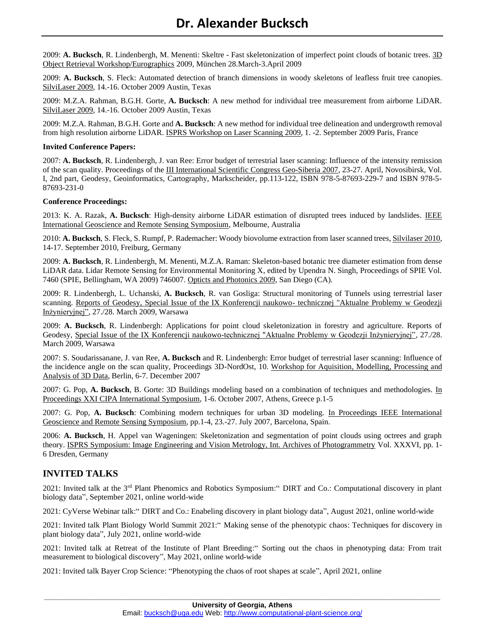2009: **A. Bucksch**, R. Lindenbergh, M. Menenti: Skeltre - Fast skeletonization of imperfect point clouds of botanic trees. 3D Object Retrieval Workshop/Eurographics 2009, München 28.March-3.April 2009

2009: **A. Bucksch**, S. Fleck: Automated detection of branch dimensions in woody skeletons of leafless fruit tree canopies. SilviLaser 2009, 14.-16. October 2009 Austin, Texas

2009: M.Z.A. Rahman, B.G.H. Gorte, **A. Bucksch**: A new method for individual tree measurement from airborne LiDAR. SilviLaser 2009, 14.-16. October 2009 Austin, Texas

2009: M.Z.A. Rahman, B.G.H. Gorte and **A. Bucksch**: A new method for individual tree delineation and undergrowth removal from high resolution airborne LiDAR. ISPRS Workshop on Laser Scanning 2009, 1. -2. September 2009 Paris, France

#### **Invited Conference Papers:**

2007: **A. Bucksch**, R. Lindenbergh, J. van Ree: Error budget of terrestrial laser scanning: Influence of the intensity remission of the scan quality. Proceedings of the III International Scientific Congress Geo-Siberia 2007, 23-27. April, Novosibirsk, Vol. I, 2nd part, Geodesy, Geoinformatics, Cartography, Markscheider, pp.113-122, ISBN 978-5-87693-229-7 and ISBN 978-5- 87693-231-0

#### **Conference Proceedings:**

2013: K. A. Razak, **A. Bucksch**: High-density airborne LiDAR estimation of disrupted trees induced by landslides. IEEE International Geoscience and Remote Sensing Symposium, Melbourne, Australia

2010: **A. Bucksch**, S. Fleck, S. Rumpf, P. Rademacher: Woody biovolume extraction from laser scanned trees, Silvilaser 2010, 14-17. September 2010, Freiburg, Germany

2009: **A. Bucksch**, R. Lindenbergh, M. Menenti, M.Z.A. Raman: Skeleton-based botanic tree diameter estimation from dense LiDAR data. Lidar Remote Sensing for Environmental Monitoring X, edited by Upendra N. Singh, Proceedings of SPIE Vol. 7460 (SPIE, Bellingham, WA 2009) 746007. Opticts and Photonics 2009, San Diego (CA).

2009: R. Lindenbergh, L. Uchanski, **A. Bucksch**, R. van Gosliga: Structural monitoring of Tunnels using terrestrial laser scanning. Reports of Geodesy, Special Issue of the IX Konferencji naukowo- technicznej "Aktualne Problemy w Geodezji Inżynieryjnej", 27./28. March 2009, Warsawa

2009: **A. Bucksch**, R. Lindenbergh: Applications for point cloud skeletonization in forestry and agriculture. Reports of Geodesy, Special Issue of the IX Konferencji naukowo-technicznej "Aktualne Problemy w Geodezji Inżynieryjnej", 27./28. March 2009, Warsawa

2007: S. Soudarissanane, J. van Ree, **A. Bucksch** and R. Lindenbergh: Error budget of terrestrial laser scanning: Influence of the incidence angle on the scan quality, Proceedings 3D-NordOst, 10. Workshop for Aquisition, Modelling, Processing and Analysis of 3D Data, Berlin, 6-7. December 2007

2007: G. Pop, **A. Bucksch**, B. Gorte: 3D Buildings modeling based on a combination of techniques and methodologies. In Proceedings XXI CIPA International Symposium, 1-6. October 2007, Athens, Greece p.1-5

2007: G. Pop, **A. Bucksch**: Combining modern techniques for urban 3D modeling. In Proceedings IEEE International Geoscience and Remote Sensing Symposium, pp.1-4, 23.-27. July 2007, Barcelona, Spain.

2006: **A. Bucksch**, H. Appel van Wageningen: Skeletonization and segmentation of point clouds using octrees and graph theory. ISPRS Symposium: Image Engineering and Vision Metrology, Int. Archives of Photogrammetry Vol. XXXVI, pp. 1- 6 Dresden, Germany

## **INVITED TALKS**

2021: Invited talk at the 3rd Plant Phenomics and Robotics Symposium:" DIRT and Co.: Computational discovery in plant biology data", September 2021, online world-wide

2021: CyVerse Webinar talk:" DIRT and Co.: Enabeling discovery in plant biology data", August 2021, online world-wide

2021: Invited talk Plant Biology World Summit 2021:" Making sense of the phenotypic chaos: Techniques for discovery in plant biology data", July 2021, online world-wide

2021: Invited talk at Retreat of the Institute of Plant Breeding:" Sorting out the chaos in phenotyping data: From trait measurement to biological discovery", May 2021, online world-wide

2021: Invited talk Bayer Crop Science: "Phenotyping the chaos of root shapes at scale", April 2021, online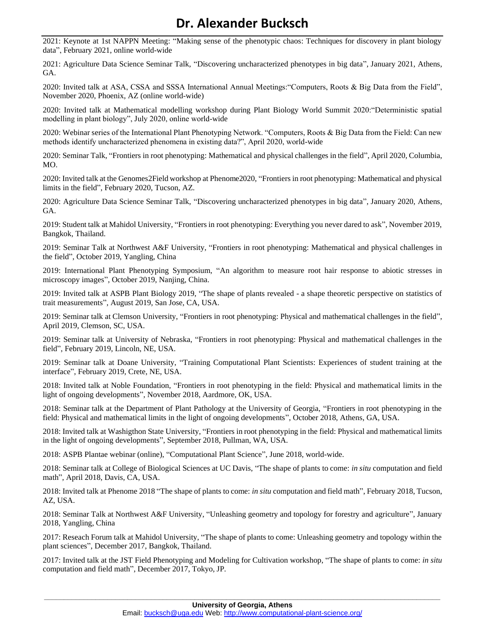# **Dr. Alexander Bucksch**

2021: Keynote at 1st NAPPN Meeting: "Making sense of the phenotypic chaos: Techniques for discovery in plant biology data", February 2021, online world-wide

2021: Agriculture Data Science Seminar Talk, "Discovering uncharacterized phenotypes in big data", January 2021, Athens, GA.

2020: Invited talk at ASA, CSSA and SSSA International Annual Meetings:"Computers, Roots & Big Data from the Field", November 2020, Phoenix, AZ (online world-wide)

2020: Invited talk at Mathematical modelling workshop during Plant Biology World Summit 2020:"Deterministic spatial modelling in plant biology", July 2020, online world-wide

2020: Webinar series of the International Plant Phenotyping Network. "Computers, Roots & Big Data from the Field: Can new methods identify uncharacterized phenomena in existing data?", April 2020, world-wide

2020: Seminar Talk, "Frontiers in root phenotyping: Mathematical and physical challenges in the field", April 2020, Columbia, MO.

2020: Invited talk at the Genomes2Field workshop at Phenome2020, "Frontiers in root phenotyping: Mathematical and physical limits in the field", February 2020, Tucson, AZ.

2020: Agriculture Data Science Seminar Talk, "Discovering uncharacterized phenotypes in big data", January 2020, Athens, GA.

2019: Student talk at Mahidol University, "Frontiers in root phenotyping: Everything you never dared to ask", November 2019, Bangkok, Thailand.

2019: Seminar Talk at Northwest A&F University, "Frontiers in root phenotyping: Mathematical and physical challenges in the field", October 2019, Yangling, China

2019: International Plant Phenotyping Symposium, "An algorithm to measure root hair response to abiotic stresses in microscopy images", October 2019, Nanjing, China.

2019: Invited talk at ASPB Plant Biology 2019, "The shape of plants revealed - a shape theoretic perspective on statistics of trait measurements", August 2019, San Jose, CA, USA.

2019: Seminar talk at Clemson University, "Frontiers in root phenotyping: Physical and mathematical challenges in the field", April 2019, Clemson, SC, USA.

2019: Seminar talk at University of Nebraska, "Frontiers in root phenotyping: Physical and mathematical challenges in the field", February 2019, Lincoln, NE, USA.

2019: Seminar talk at Doane University, "Training Computational Plant Scientists: Experiences of student training at the interface", February 2019, Crete, NE, USA.

2018: Invited talk at Noble Foundation, "Frontiers in root phenotyping in the field: Physical and mathematical limits in the light of ongoing developments", November 2018, Aardmore, OK, USA.

2018: Seminar talk at the Department of Plant Pathology at the University of Georgia, "Frontiers in root phenotyping in the field: Physical and mathematical limits in the light of ongoing developments", October 2018, Athens, GA, USA.

2018: Invited talk at Washigthon State University, "Frontiers in root phenotyping in the field: Physical and mathematical limits in the light of ongoing developments", September 2018, Pullman, WA, USA.

2018: ASPB Plantae webinar (online), "Computational Plant Science", June 2018, world-wide.

2018: Seminar talk at College of Biological Sciences at UC Davis, "The shape of plants to come: *in situ* computation and field math", April 2018, Davis, CA, USA.

2018: Invited talk at Phenome 2018 "The shape of plants to come: *in situ* computation and field math", February 2018, Tucson, AZ, USA.

2018: Seminar Talk at Northwest A&F University, "Unleashing geometry and topology for forestry and agriculture", January 2018, Yangling, China

2017: Reseach Forum talk at Mahidol University, "The shape of plants to come: Unleashing geometry and topology within the plant sciences", December 2017, Bangkok, Thailand.

2017: Invited talk at the JST Field Phenotyping and Modeling for Cultivation workshop, "The shape of plants to come: *in situ* computation and field math", December 2017, Tokyo, JP.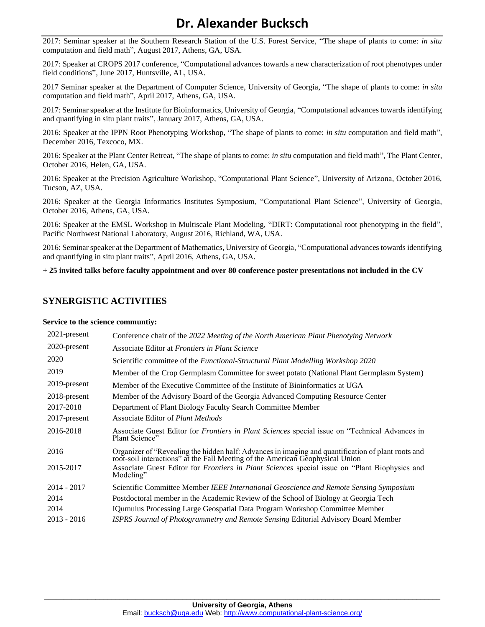# **Dr. Alexander Bucksch**

2017: Seminar speaker at the Southern Research Station of the U.S. Forest Service, "The shape of plants to come: *in situ* computation and field math", August 2017, Athens, GA, USA.

2017: Speaker at CROPS 2017 conference, "Computational advances towards a new characterization of root phenotypes under field conditions", June 2017, Huntsville, AL, USA.

2017 Seminar speaker at the Department of Computer Science, University of Georgia, "The shape of plants to come: *in situ* computation and field math", April 2017, Athens, GA, USA.

2017: Seminar speaker at the Institute for Bioinformatics, University of Georgia, "Computational advances towards identifying and quantifying in situ plant traits", January 2017, Athens, GA, USA.

2016: Speaker at the IPPN Root Phenotyping Workshop, "The shape of plants to come: *in situ* computation and field math", December 2016, Texcoco, MX.

2016: Speaker at the Plant Center Retreat, "The shape of plants to come: *in situ* computation and field math", The Plant Center, October 2016, Helen, GA, USA.

2016: Speaker at the Precision Agriculture Workshop, "Computational Plant Science", University of Arizona, October 2016, Tucson, AZ, USA.

2016: Speaker at the Georgia Informatics Institutes Symposium, "Computational Plant Science", University of Georgia, October 2016, Athens, GA, USA.

2016: Speaker at the EMSL Workshop in Multiscale Plant Modeling, "DIRT: Computational root phenotyping in the field", Pacific Northwest National Laboratory, August 2016, Richland, WA, USA.

2016: Seminar speaker at the Department of Mathematics, University of Georgia, "Computational advances towards identifying and quantifying in situ plant traits", April 2016, Athens, GA, USA.

**+ 25 invited talks before faculty appointment and over 80 conference poster presentations not included in the CV**

## **SYNERGISTIC ACTIVITIES**

#### **Service to the science communtiy:**

| Member of the Crop Germplasm Committee for sweet potato (National Plant Germplasm System)             |
|-------------------------------------------------------------------------------------------------------|
|                                                                                                       |
|                                                                                                       |
|                                                                                                       |
|                                                                                                       |
| Associate Guest Editor for <i>Frontiers in Plant Sciences</i> special issue on "Technical Advances in |
| Organizer of "Revealing the hidden half: Advances in imaging and quantification of plant roots and    |
| Associate Guest Editor for Frontiers in Plant Sciences special issue on "Plant Biophysics and         |
| Scientific Committee Member IEEE International Geoscience and Remote Sensing Symposium                |
|                                                                                                       |
|                                                                                                       |
|                                                                                                       |
|                                                                                                       |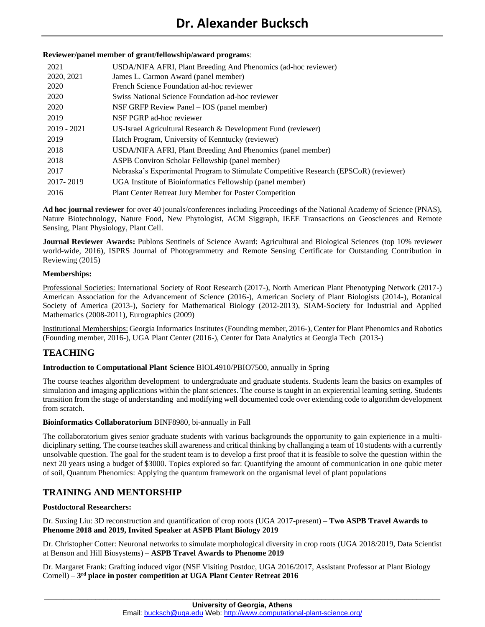### **Reviewer/panel member of grant/fellowship/award programs**:

| 2021<br>2020, 2021 | USDA/NIFA AFRI, Plant Breeding And Phenomics (ad-hoc reviewer)<br>James L. Carmon Award (panel member) |
|--------------------|--------------------------------------------------------------------------------------------------------|
| 2020               | French Science Foundation ad-hoc reviewer                                                              |
| 2020               | Swiss National Science Foundation ad-hoc reviewer                                                      |
| 2020               | NSF GRFP Review Panel $-$ IOS (panel member)                                                           |
| 2019               | NSF PGRP ad-hoc reviewer                                                                               |
| $2019 - 2021$      | US-Israel Agricultural Research $\&$ Development Fund (reviewer)                                       |
| 2019               | Hatch Program, University of Kenntucky (reviewer)                                                      |
| 2018               | USDA/NIFA AFRI, Plant Breeding And Phenomics (panel member)                                            |
| 2018               | ASPB Conviron Scholar Fellowship (panel member)                                                        |
| 2017               | Nebraska's Experimental Program to Stimulate Competitive Research (EPSCoR) (reviewer)                  |
| 2017-2019          | UGA Institute of Bioinformatics Fellowship (panel member)                                              |
| 2016               | Plant Center Retreat Jury Member for Poster Competition                                                |

**Ad hoc journal reviewer** for over 40 jounals/conferences including Proceedings of the National Academy of Science (PNAS), Nature Biotechnology, Nature Food, New Phytologist, ACM Siggraph, IEEE Transactions on Geosciences and Remote Sensing, Plant Physiology, Plant Cell.

**Journal Reviewer Awards:** Publons Sentinels of Science Award: Agricultural and Biological Sciences (top 10% reviewer world-wide, 2016), ISPRS Journal of Photogrammetry and Remote Sensing Certificate for Outstanding Contribution in Reviewing (2015)

#### **Memberships:**

Professional Societies: International Society of Root Research (2017-), North American Plant Phenotyping Network (2017-) American Association for the Advancement of Science (2016-), American Society of Plant Biologists (2014-), Botanical Society of America (2013-), Society for Mathematical Biology (2012-2013), SIAM-Society for Industrial and Applied Mathematics (2008-2011), Eurographics (2009)

Institutional Memberships: Georgia Informatics Institutes (Founding member, 2016-), Center for Plant Phenomics and Robotics (Founding member, 2016-), UGA Plant Center (2016-), Center for Data Analytics at Georgia Tech (2013-)

# **TEACHING**

## **Introduction to Computational Plant Science** BIOL4910/PBIO7500, annually in Spring

The course teaches algorithm development to undergraduate and graduate students. Students learn the basics on examples of simulation and imaging applications within the plant sciences. The course is taught in an expierential learning setting. Students transition from the stage of understanding and modifying well documented code over extending code to algorithm development from scratch.

#### **Bioinformatics Collaboratorium** BINF8980, bi-annually in Fall

The collaboratorium gives senior graduate students with various backgrounds the opportunity to gain expierience in a multidiciplinary setting. The course teaches skill awareness and critical thinking by challanging a team of 10 students with a currently unsolvable question. The goal for the student team is to develop a first proof that it is feasible to solve the question within the next 20 years using a budget of \$3000. Topics explored so far: Quantifying the amount of communication in one qubic meter of soil, Quantum Phenomics: Applying the quantum framework on the organismal level of plant populations

# **TRAINING AND MENTORSHIP**

#### **Postdoctoral Researchers:**

Dr. Suxing Liu: 3D reconstruction and quantification of crop roots (UGA 2017-present) – **Two ASPB Travel Awards to Phenome 2018 and 2019, Invited Speaker at ASPB Plant Biology 2019**

Dr. Christopher Cotter: Neuronal networks to simulate morphological diversity in crop roots (UGA 2018/2019, Data Scientist at Benson and Hill Biosystems) – **ASPB Travel Awards to Phenome 2019**

Dr. Margaret Frank: Grafting induced vigor (NSF Visiting Postdoc, UGA 2016/2017, Assistant Professor at Plant Biology Cornell) – **3 rd place in poster competition at UGA Plant Center Retreat 2016**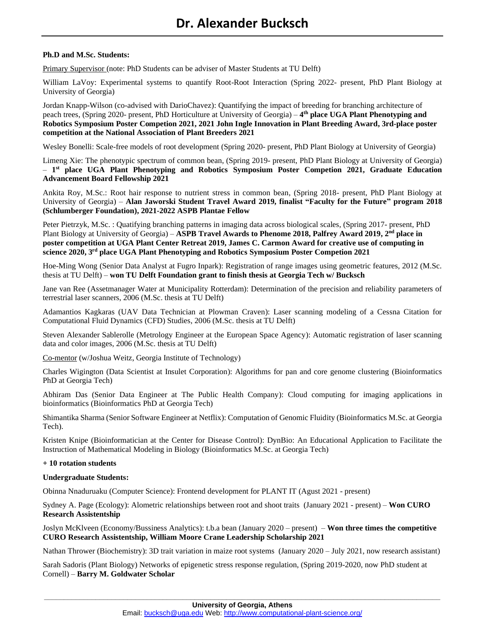### **Ph.D and M.Sc. Students:**

Primary Supervisor (note: PhD Students can be adviser of Master Students at TU Delft)

William LaVoy: Experimental systems to quantify Root-Root Interaction (Spring 2022- present, PhD Plant Biology at University of Georgia)

Jordan Knapp-Wilson (co-advised with DarioChavez): Quantifying the impact of breeding for branching architecture of peach trees, (Spring 2020- present, PhD Horticulture at University of Georgia) – **4 th place UGA Plant Phenotyping and Robotics Symposium Poster Competion 2021, 2021 John Ingle Innovation in Plant Breeding Award, 3rd-place poster competition at the National Association of Plant Breeders 2021**

Wesley Bonelli: Scale-free models of root development (Spring 2020- present, PhD Plant Biology at University of Georgia)

Limeng Xie: The phenotypic spectrum of common bean, (Spring 2019- present, PhD Plant Biology at University of Georgia) – **1 st place UGA Plant Phenotyping and Robotics Symposium Poster Competion 2021, Graduate Education Advancement Board Fellowship 2021**

Ankita Roy, M.Sc.: Root hair response to nutrient stress in common bean, (Spring 2018- present, PhD Plant Biology at University of Georgia) – **Alan Jaworski Student Travel Award 2019, finalist "Faculty for the Future" program 2018 (Schlumberger Foundation), 2021-2022 ASPB Plantae Fellow**

Peter Pietrzyk, M.Sc. : Quatifying branching patterns in imaging data across biological scales, (Spring 2017- present, PhD Plant Biology at University of Georgia) – ASPB Travel Awards to Phenome 2018, Palfrey Award 2019, 2<sup>nd</sup> place in **poster competition at UGA Plant Center Retreat 2019, James C. Carmon Award for creative use of computing in science 2020, 3rd place UGA Plant Phenotyping and Robotics Symposium Poster Competion 2021**

Hoe-Ming Wong (Senior Data Analyst at Fugro Inpark): Registration of range images using geometric features, 2012 (M.Sc. thesis at TU Delft) – **won TU Delft Foundation grant to finish thesis at Georgia Tech w/ Bucksch**

Jane van Ree (Assetmanager Water at Municipality Rotterdam): Determination of the precision and reliability parameters of terrestrial laser scanners, 2006 (M.Sc. thesis at TU Delft)

Adamantios Kagkaras (UAV Data Technician at Plowman Craven): Laser scanning modeling of a Cessna Citation for Computational Fluid Dynamics (CFD) Studies, 2006 (M.Sc. thesis at TU Delft)

Steven Alexander Sablerolle (Metrology Engineer at the European Space Agency): Automatic registration of laser scanning data and color images, 2006 (M.Sc. thesis at TU Delft)

Co-mentor (w/Joshua Weitz, Georgia Institute of Technology)

Charles Wigington (Data Scientist at Insulet Corporation): Algorithms for pan and core genome clustering (Bioinformatics PhD at Georgia Tech)

Abhiram Das (Senior Data Engineer at The Public Health Company): Cloud computing for imaging applications in bioinformatics (Bioinformatics PhD at Georgia Tech)

Shimantika Sharma (Senior Software Engineer at Netflix): Computation of Genomic Fluidity (Bioinformatics M.Sc. at Georgia Tech).

Kristen Knipe (Bioinformatician at the Center for Disease Control): DynBio: An Educational Application to Facilitate the Instruction of Mathematical Modeling in Biology (Bioinformatics M.Sc. at Georgia Tech)

#### **+ 10 rotation students**

#### **Undergraduate Students:**

Obinna Nnaduruaku (Computer Science): Frontend development for PLANT IT (Agust 2021 - present)

Sydney A. Page (Ecology): Alometric relationships between root and shoot traits (January 2021 - present) – **Won CURO Research Assistentship**

Joslyn McKlveen (Economy/Bussiness Analytics): t.b.a bean (January 2020 – present) – **Won three times the competitive CURO Research Assistentship, William Moore Crane Leadership Scholarship 2021**

Nathan Thrower (Biochemistry): 3D trait variation in maize root systems (January 2020 – July 2021, now research assistant)

Sarah Sadoris (Plant Biology) Networks of epigenetic stress response regulation, (Spring 2019-2020, now PhD student at Cornell) – **Barry M. Goldwater Scholar**